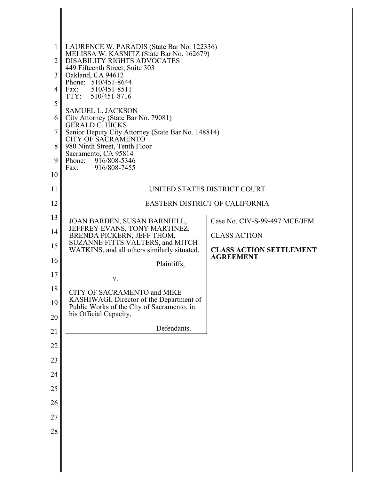| $\mathbf{1}$<br>$\overline{2}$<br>3<br>$\overline{4}$<br>5<br>6<br>$\overline{7}$<br>8<br>9<br>10 | LAURENCE W. PARADIS (State Bar No. 122336)<br>MELISSA W. KASNITZ (State Bar No. 162679)<br>DISABILITY RIGHTS ADVOCATES<br>449 Fifteenth Street, Suite 303<br>Oakland, CA 94612<br>Phone: 510/451-8644<br>Fax: 510/451-8511<br>TTY: 510/451-8716<br><b>SAMUEL L. JACKSON</b><br>City Attorney (State Bar No. 79081)<br>GERALD C. HICKS<br>Senior Deputy City Attorney (State Bar No. 148814)<br><b>CITY OF SACRAMENTO</b><br>980 Ninth Street, Tenth Floor<br>Sacramento, CA 95814<br>916/808-5346<br>Phone:<br>916/808-7455<br>Fax: |
|---------------------------------------------------------------------------------------------------|-------------------------------------------------------------------------------------------------------------------------------------------------------------------------------------------------------------------------------------------------------------------------------------------------------------------------------------------------------------------------------------------------------------------------------------------------------------------------------------------------------------------------------------|
| 11                                                                                                | UNITED STATES DISTRICT COURT                                                                                                                                                                                                                                                                                                                                                                                                                                                                                                        |
| 12                                                                                                | <b>EASTERN DISTRICT OF CALIFORNIA</b>                                                                                                                                                                                                                                                                                                                                                                                                                                                                                               |
| 13                                                                                                | Case No. CIV-S-99-497 MCE/JFM<br>JOAN BARDEN, SUSAN BARNHILL,                                                                                                                                                                                                                                                                                                                                                                                                                                                                       |
| 14                                                                                                | JEFFREY EVANS, TONY MARTINEZ,<br>BRENDA PICKERN, JEFF THOM,<br><b>CLASS ACTION</b>                                                                                                                                                                                                                                                                                                                                                                                                                                                  |
| 15                                                                                                | SUZANNE FITTS VALTERS, and MITCH<br>WATKINS, and all others similarly situated,<br><b>CLASS ACTION SETTLEMENT</b>                                                                                                                                                                                                                                                                                                                                                                                                                   |
| 16                                                                                                | <b>AGREEMENT</b><br>Plaintiffs,                                                                                                                                                                                                                                                                                                                                                                                                                                                                                                     |
| 17                                                                                                | V.                                                                                                                                                                                                                                                                                                                                                                                                                                                                                                                                  |
| 18                                                                                                | CITY OF SACRAMENTO and MIKE                                                                                                                                                                                                                                                                                                                                                                                                                                                                                                         |
| 19                                                                                                | KASHIWAGI, Director of the Department of<br>Public Works of the City of Sacramento, in<br>his Official Capacity,                                                                                                                                                                                                                                                                                                                                                                                                                    |
| 20                                                                                                |                                                                                                                                                                                                                                                                                                                                                                                                                                                                                                                                     |
| 21                                                                                                | Defendants.                                                                                                                                                                                                                                                                                                                                                                                                                                                                                                                         |
| 22                                                                                                |                                                                                                                                                                                                                                                                                                                                                                                                                                                                                                                                     |
| 23                                                                                                |                                                                                                                                                                                                                                                                                                                                                                                                                                                                                                                                     |
| 24                                                                                                |                                                                                                                                                                                                                                                                                                                                                                                                                                                                                                                                     |
| 25                                                                                                |                                                                                                                                                                                                                                                                                                                                                                                                                                                                                                                                     |
| 26                                                                                                |                                                                                                                                                                                                                                                                                                                                                                                                                                                                                                                                     |
| 27                                                                                                |                                                                                                                                                                                                                                                                                                                                                                                                                                                                                                                                     |
| 28                                                                                                |                                                                                                                                                                                                                                                                                                                                                                                                                                                                                                                                     |
|                                                                                                   |                                                                                                                                                                                                                                                                                                                                                                                                                                                                                                                                     |

║

∥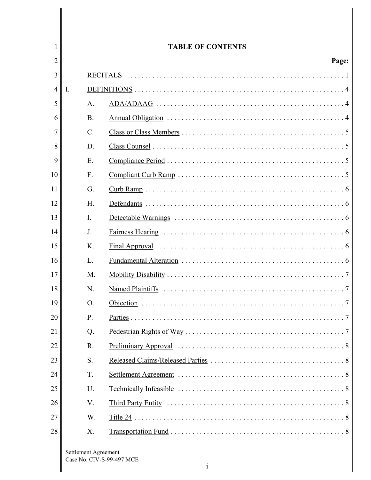| 1              |    |                      | <b>TABLE OF CONTENTS</b>                  |
|----------------|----|----------------------|-------------------------------------------|
| 2              |    |                      | Page:                                     |
| 3              |    | <b>RECITALS</b>      |                                           |
| $\overline{4}$ | I. |                      |                                           |
| 5              |    | A.                   |                                           |
| 6              |    | <b>B</b> .           |                                           |
| 7              |    | $\mathcal{C}$ .      |                                           |
| 8              |    | D.                   |                                           |
| 9              |    | E.                   |                                           |
| 10             |    | $F_{\cdot}$          |                                           |
| 11             |    | G.                   |                                           |
| 12             |    | H.                   |                                           |
| 13             |    | $\mathbf{I}$ .       |                                           |
| 14             |    | J <sub>1</sub>       |                                           |
| 15             |    | K.                   |                                           |
| 16             |    | L.                   |                                           |
| 17             |    | M.                   |                                           |
| 18             |    | N.                   | Named Plaintiffs                          |
| 19             |    | $\Omega$             | Objection<br>7                            |
| 20             |    | P.                   |                                           |
| 21             |    | Q.                   |                                           |
| 22             |    | R.                   |                                           |
| 23             |    | S.                   |                                           |
| 24             |    | T.                   |                                           |
| 25             |    | U.                   |                                           |
| 26             |    | V.                   |                                           |
| 27             |    | W.                   |                                           |
| 28             |    | X.                   |                                           |
|                |    | Settlement Agreement | Case No. CIV-S-99-497 MCE<br>$\mathbf{1}$ |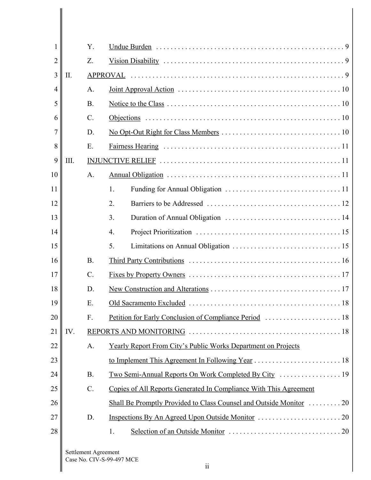| 1  |      | Y.                   |                                                                      |
|----|------|----------------------|----------------------------------------------------------------------|
| 2  |      | Z.                   |                                                                      |
| 3  | II.  |                      | <b>APPROVAL</b>                                                      |
| 4  |      | A.                   |                                                                      |
| 5  |      | <b>B.</b>            |                                                                      |
| 6  |      | $\mathcal{C}$ .      |                                                                      |
| 7  |      | D.                   |                                                                      |
| 8  |      | E.                   |                                                                      |
| 9  | III. |                      |                                                                      |
| 10 |      | A.                   |                                                                      |
| 11 |      |                      | 1.                                                                   |
| 12 |      |                      | 2.                                                                   |
| 13 |      |                      | 3.                                                                   |
| 14 |      |                      | $\overline{4}$ .                                                     |
| 15 |      |                      | 5.                                                                   |
| 16 |      | B.                   |                                                                      |
| 17 |      | $\mathcal{C}$ .      |                                                                      |
| 18 |      | D.                   |                                                                      |
| 19 |      | Ε.                   |                                                                      |
| 20 |      | F.                   | Petition for Early Conclusion of Compliance Period  18               |
| 21 | IV.  |                      |                                                                      |
| 22 |      | A.                   | <b>Yearly Report From City's Public Works Department on Projects</b> |
| 23 |      |                      |                                                                      |
| 24 |      | <b>B.</b>            |                                                                      |
| 25 |      | $C$ .                | Copies of All Reports Generated In Compliance With This Agreement    |
| 26 |      |                      |                                                                      |
| 27 |      | D.                   |                                                                      |
| 28 |      |                      | 1.                                                                   |
|    |      | Settlement Agreement |                                                                      |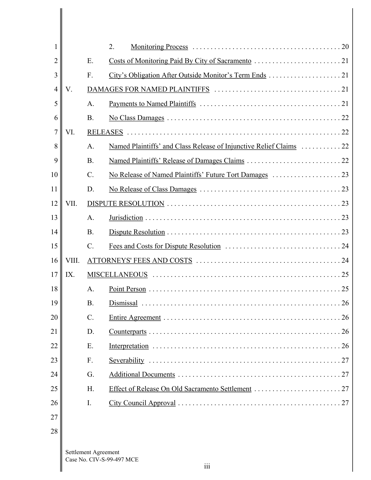| 1              |       |                      | 2.                        |
|----------------|-------|----------------------|---------------------------|
| $\overline{2}$ |       | Ε.                   |                           |
| 3              |       | F.                   |                           |
| 4              | V.    |                      |                           |
| 5              |       | A.                   |                           |
| 6              |       | <b>B</b> .           |                           |
| 7              | VI.   |                      |                           |
| 8              |       | A.                   |                           |
| 9              |       | <b>B</b> .           |                           |
| 10             |       | $\mathcal{C}$ .      |                           |
| 11             |       | D.                   |                           |
| 12             | VII.  |                      |                           |
| 13             |       | A.                   |                           |
| 14             |       | <b>B.</b>            |                           |
| 15             |       | $\mathcal{C}$ .      |                           |
| 16             | VIII. |                      |                           |
| 17             | IX.   |                      |                           |
| 18             |       | A.                   | 25                        |
| 19             |       | B.                   | Dismissal<br>26           |
| 20             |       | $\mathcal{C}$ .      |                           |
| 21             |       | D.                   |                           |
| 22             |       | Ε.                   |                           |
| 23             |       | $F_{\cdot}$          |                           |
| 24             |       | G.                   |                           |
| 25             |       | H.                   |                           |
| 26             |       | I.                   |                           |
| 27             |       |                      |                           |
| 28             |       |                      |                           |
|                |       | Settlement Agreement | Case No. CIV-S-99-497 MCE |

 $\mathsf{l}$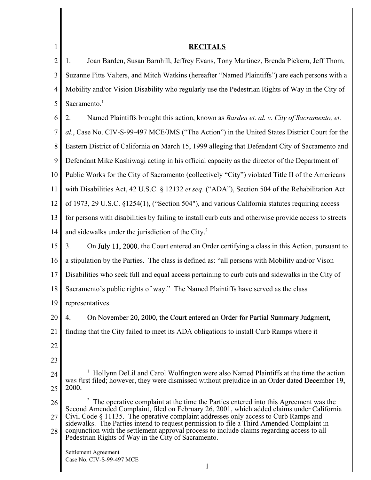| 1              | <b>RECITALS</b>                                                                                                                                                                             |
|----------------|---------------------------------------------------------------------------------------------------------------------------------------------------------------------------------------------|
| $\overline{2}$ | Joan Barden, Susan Barnhill, Jeffrey Evans, Tony Martinez, Brenda Pickern, Jeff Thom,<br>1.                                                                                                 |
| 3              | Suzanne Fitts Valters, and Mitch Watkins (hereafter "Named Plaintiffs") are each persons with a                                                                                             |
| 4              | Mobility and/or Vision Disability who regularly use the Pedestrian Rights of Way in the City of                                                                                             |
| 5              | Sacramento. <sup>1</sup>                                                                                                                                                                    |
| 6              | Named Plaintiffs brought this action, known as Barden et. al. v. City of Sacramento, et.<br>2.                                                                                              |
| 7              | al., Case No. CIV-S-99-497 MCE/JMS ("The Action") in the United States District Court for the                                                                                               |
| 8              | Eastern District of California on March 15, 1999 alleging that Defendant City of Sacramento and                                                                                             |
| 9              | Defendant Mike Kashiwagi acting in his official capacity as the director of the Department of                                                                                               |
| 10             | Public Works for the City of Sacramento (collectively "City") violated Title II of the Americans                                                                                            |
| 11             | with Disabilities Act, 42 U.S.C. § 12132 et seq. ("ADA"), Section 504 of the Rehabilitation Act                                                                                             |
| 12             | of 1973, 29 U.S.C. §1254(1), ("Section 504"), and various California statutes requiring access                                                                                              |
| 13             | for persons with disabilities by failing to install curb cuts and otherwise provide access to streets                                                                                       |
| 14             | and sidewalks under the jurisdiction of the City. <sup>2</sup>                                                                                                                              |
| 15             | On July 11, 2000, the Court entered an Order certifying a class in this Action, pursuant to<br>3.                                                                                           |
| 16             | a stipulation by the Parties. The class is defined as: "all persons with Mobility and/or Vison                                                                                              |
| 17             | Disabilities who seek full and equal access pertaining to curb cuts and sidewalks in the City of                                                                                            |
| 18             | Sacramento's public rights of way." The Named Plaintiffs have served as the class                                                                                                           |
| 19             | representatives.                                                                                                                                                                            |
| 20             | On November 20, 2000, the Court entered an Order for Partial Summary Judgment,<br>4.                                                                                                        |
| 21             | finding that the City failed to meet its ADA obligations to install Curb Ramps where it                                                                                                     |
| 22             |                                                                                                                                                                                             |
| 23             |                                                                                                                                                                                             |
| 24             | Hollynn DeLil and Carol Wolfington were also Named Plaintiffs at the time the action<br>was first filed; however, they were dismissed without prejudice in an Order dated December 19,      |
| 25             | 2000.                                                                                                                                                                                       |
| 26             | $2\degree$ The operative complaint at the time the Parties entered into this Agreement was the<br>Second Amended Complaint, filed on February 26, 2001, which added claims under California |
| 27             | Civil Code § 11135. The operative complaint addresses only access to Curb Ramps and<br>sidewalks. The Parties intend to request permission to file a Third Amended Complaint in             |
| 28             | conjunction with the settlement approval process to include claims regarding access to all<br>Pedestrian Rights of Way in the City of Sacramento.                                           |
|                | Settlement Agreement                                                                                                                                                                        |
|                | Case No. CIV-S-99-497 MCE<br>1                                                                                                                                                              |
|                |                                                                                                                                                                                             |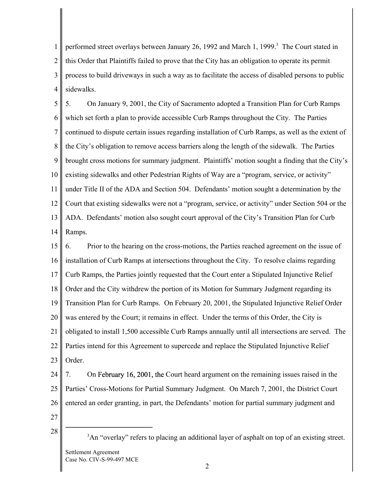1 2 3 4 performed street overlays between January 26, 1992 and March 1, 1999.<sup>3</sup> The Court stated in this Order that Plaintiffs failed to prove that the City has an obligation to operate its permit process to build driveways in such a way as to facilitate the access of disabled persons to public sidewalks.

5 6 7 8 9 10 11 12 13 14 5. On January 9, 2001, the City of Sacramento adopted a Transition Plan for Curb Ramps which set forth a plan to provide accessible Curb Ramps throughout the City. The Parties continued to dispute certain issues regarding installation of Curb Ramps, as well as the extent of the City's obligation to remove access barriers along the length of the sidewalk. The Parties brought cross motions for summary judgment. Plaintiffs' motion sought a finding that the City's existing sidewalks and other Pedestrian Rights of Way are a "program, service, or activity" under Title II of the ADA and Section 504. Defendants' motion sought a determination by the Court that existing sidewalks were not a "program, service, or activity" under Section 504 or the ADA. Defendants' motion also sought court approval of the City's Transition Plan for Curb Ramps.

15 16 17 18 19 20 21 22 23 6. Prior to the hearing on the cross-motions, the Parties reached agreement on the issue of installation of Curb Ramps at intersections throughout the City. To resolve claims regarding Curb Ramps, the Parties jointly requested that the Court enter a Stipulated Injunctive Relief Order and the City withdrew the portion of its Motion for Summary Judgment regarding its Transition Plan for Curb Ramps. On February 20, 2001, the Stipulated Injunctive Relief Order was entered by the Court; it remains in effect. Under the terms of this Order, the City is obligated to install 1,500 accessible Curb Ramps annually until all intersections are served. The Parties intend for this Agreement to supercede and replace the Stipulated Injunctive Relief Order.

24 25 26 7. On February 16, 2001, the Court heard argument on the remaining issues raised in the Parties' Cross-Motions for Partial Summary Judgment. On March 7, 2001, the District Court entered an order granting, in part, the Defendants' motion for partial summary judgment and

- 27
- 28

<sup>3</sup>An "overlay" refers to placing an additional layer of asphalt on top of an existing street. Settlement Agreement Case No. CIV-S-99-497 MCE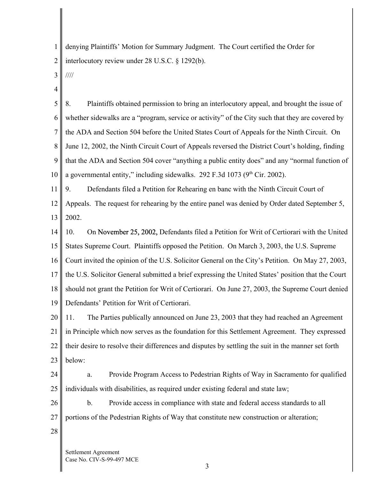1 2 denying Plaintiffs' Motion for Summary Judgment. The Court certified the Order for interlocutory review under 28 U.S.C. § 1292(b).

- 3 ////
- 4

5 6 7 8 9 10 8. Plaintiffs obtained permission to bring an interlocutory appeal, and brought the issue of whether sidewalks are a "program, service or activity" of the City such that they are covered by the ADA and Section 504 before the United States Court of Appeals for the Ninth Circuit. On June 12, 2002, the Ninth Circuit Court of Appeals reversed the District Court's holding, finding that the ADA and Section 504 cover "anything a public entity does" and any "normal function of a governmental entity," including sidewalks. 292 F.3d 1073 ( $9<sup>th</sup>$  Cir. 2002).

11 9. Defendants filed a Petition for Rehearing en banc with the Ninth Circuit Court of

12 13 Appeals. The request for rehearing by the entire panel was denied by Order dated September 5, 2002.

14 15 16 17 18 19 10. On November 25, 2002, Defendants filed a Petition for Writ of Certiorari with the United States Supreme Court. Plaintiffs opposed the Petition. On March 3, 2003, the U.S. Supreme Court invited the opinion of the U.S. Solicitor General on the City's Petition. On May 27, 2003, the U.S. Solicitor General submitted a brief expressing the United States' position that the Court should not grant the Petition for Writ of Certiorari. On June 27, 2003, the Supreme Court denied Defendants' Petition for Writ of Certiorari.

20 21 22 23 11. The Parties publically announced on June 23, 2003 that they had reached an Agreement in Principle which now serves as the foundation for this Settlement Agreement. They expressed their desire to resolve their differences and disputes by settling the suit in the manner set forth below:

24 25 a. Provide Program Access to Pedestrian Rights of Way in Sacramento for qualified individuals with disabilities, as required under existing federal and state law;

26 27 b. Provide access in compliance with state and federal access standards to all portions of the Pedestrian Rights of Way that constitute new construction or alteration;

28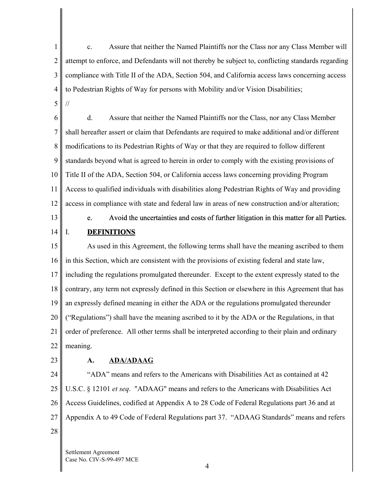1 2 3 4 5 c. Assure that neither the Named Plaintiffs nor the Class nor any Class Member will attempt to enforce, and Defendants will not thereby be subject to, conflicting standards regarding compliance with Title II of the ADA, Section 504, and California access laws concerning access to Pedestrian Rights of Way for persons with Mobility and/or Vision Disabilities; //

6 7 8 9 10 11 12 d. Assure that neither the Named Plaintiffs nor the Class, nor any Class Member shall hereafter assert or claim that Defendants are required to make additional and/or different modifications to its Pedestrian Rights of Way or that they are required to follow different standards beyond what is agreed to herein in order to comply with the existing provisions of Title II of the ADA, Section 504, or California access laws concerning providing Program Access to qualified individuals with disabilities along Pedestrian Rights of Way and providing access in compliance with state and federal law in areas of new construction and/or alteration;

13

14

I.

#### Avoid the uncertainties and costs of further litigation in this matter for all Parties. e. **DEFINITIONS**

15 16 17 18 19 20 21 22 As used in this Agreement, the following terms shall have the meaning ascribed to them in this Section, which are consistent with the provisions of existing federal and state law, including the regulations promulgated thereunder. Except to the extent expressly stated to the contrary, any term not expressly defined in this Section or elsewhere in this Agreement that has an expressly defined meaning in either the ADA or the regulations promulgated thereunder ("Regulations") shall have the meaning ascribed to it by the ADA or the Regulations, in that order of preference. All other terms shall be interpreted according to their plain and ordinary meaning.

23

#### **A. ADA/ADAAG**

24 25 26 27 28 "ADA" means and refers to the Americans with Disabilities Act as contained at 42 U.S.C. § 12101 *et seq*. "ADAAG" means and refers to the Americans with Disabilities Act Access Guidelines, codified at Appendix A to 28 Code of Federal Regulations part 36 and at Appendix A to 49 Code of Federal Regulations part 37."ADAAG Standards" means and refers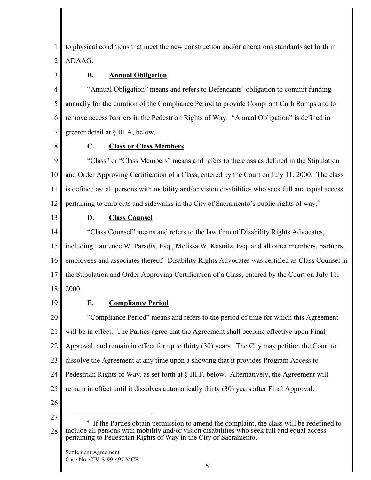1 2 to physical conditions that meet the new construction and/or alterations standards set forth in ADAAG.

3

# **B. Annual Obligation**

4 5 6 7 "Annual Obligation" means and refers to Defendants' obligation to commit funding annually for the duration of the Compliance Period to provide Compliant Curb Ramps and to remove access barriers in the Pedestrian Rights of Way. "Annual Obligation" is defined in greater detail at § III.A, below.

8

## **C. Class or Class Members**

9 10 11 12 "Class" or "Class Members" means and refers to the class as defined in the Stipulation and Order Approving Certification of a Class, entered by the Court on July 11, 2000. The class is defined as: all persons with mobility and/or vision disabilities who seek full and equal access pertaining to curb cuts and sidewalks in the City of Sacramento's public rights of way.4

13

## **D. Class Counsel**

14 15 16 17 18 "Class Counsel" means and refers to the law firm of Disability Rights Advocates, including Laurence W. Paradis, Esq., Melissa W. Kasnitz, Esq. and all other members, partners, employees and associates thereof. Disability Rights Advocates was certified as Class Counsel in the Stipulation and Order Approving Certification of a Class, entered by the Court on July 11, 2000.

19

# **E. Compliance Period**

20 21 22 23 24 25 "Compliance Period" means and refers to the period of time for which this Agreement will be in effect. The Parties agree that the Agreement shall become effective upon Final Approval, and remain in effect for up to thirty (30) years. The City may petition the Court to dissolve the Agreement at any time upon a showing that it provides Program Access to Pedestrian Rights of Way, as set forth at § III.F, below. Alternatively, the Agreement will remain in effect until it dissolves automatically thirty (30) years after Final Approval.

- 26 27
- 28 <sup>4</sup> If the Parties obtain permission to amend the complaint, the class will be redefined to include all persons with mobility and/or vision disabilities who seek full and equal access pertaining to Pedestrian Rights of Way in the City of Sacramento.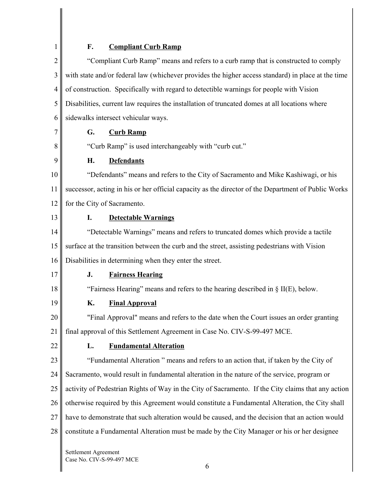1

# **F. Compliant Curb Ramp**

| $\overline{c}$ |    | "Compliant Curb Ramp" means and refers to a curb ramp that is constructed to comply                 |
|----------------|----|-----------------------------------------------------------------------------------------------------|
| 3              |    | with state and/or federal law (whichever provides the higher access standard) in place at the time  |
| 4              |    | of construction. Specifically with regard to detectible warnings for people with Vision             |
| 5              |    | Disabilities, current law requires the installation of truncated domes at all locations where       |
| 6              |    | sidewalks intersect vehicular ways.                                                                 |
| 7              | G. | <b>Curb Ramp</b>                                                                                    |
| 8              |    | "Curb Ramp" is used interchangeably with "curb cut."                                                |
| 9              | Н. | <b>Defendants</b>                                                                                   |
| 10             |    | "Defendants" means and refers to the City of Sacramento and Mike Kashiwagi, or his                  |
| 11             |    | successor, acting in his or her official capacity as the director of the Department of Public Works |
| 12             |    | for the City of Sacramento.                                                                         |
| 13             | I. | <b>Detectable Warnings</b>                                                                          |
| 14             |    | "Detectable Warnings" means and refers to truncated domes which provide a tactile                   |
| 15             |    | surface at the transition between the curb and the street, assisting pedestrians with Vision        |
| 16             |    | Disabilities in determining when they enter the street.                                             |
| 17             | J. | <b>Fairness Hearing</b>                                                                             |
| 18             |    | "Fairness Hearing" means and refers to the hearing described in $\S$ II(E), below.                  |
| 19             | K. | <b>Final Approval</b>                                                                               |
| 20             |    | "Final Approval" means and refers to the date when the Court issues an order granting               |
| 21             |    | final approval of this Settlement Agreement in Case No. CIV-S-99-497 MCE.                           |
| 22             | L. | <b>Fundamental Alteration</b>                                                                       |
| 23             |    | "Fundamental Alteration" means and refers to an action that, if taken by the City of                |
| 24             |    | Sacramento, would result in fundamental alteration in the nature of the service, program or         |
| 25             |    | activity of Pedestrian Rights of Way in the City of Sacramento. If the City claims that any action  |
| 26             |    | otherwise required by this Agreement would constitute a Fundamental Alteration, the City shall      |
| 27             |    | have to demonstrate that such alteration would be caused, and the decision that an action would     |
| 28             |    | constitute a Fundamental Alteration must be made by the City Manager or his or her designee         |
|                |    |                                                                                                     |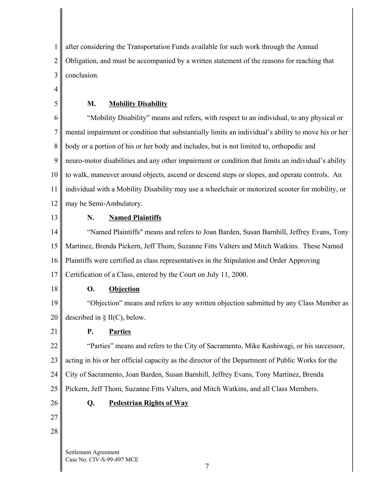1 2 3 after considering the Transportation Funds available for such work through the Annual Obligation, and must be accompanied by a written statement of the reasons for reaching that conclusion.

4

5

#### **M. Mobility Disability**

6 7 8 9 10 11 12 "Mobility Disability" means and refers, with respect to an individual, to any physical or mental impairment or condition that substantially limits an individual's ability to move his or her body or a portion of his or her body and includes, but is not limited to, orthopedic and neuro-motor disabilities and any other impairment or condition that limits an individual's ability to walk, maneuver around objects, ascend or descend steps or slopes, and operate controls. An individual with a Mobility Disability may use a wheelchair or motorized scooter for mobility, or may be Semi-Ambulatory.

13

#### **N. Named Plaintiffs**

14 15 16 17 "Named Plaintiffs" means and refers to Joan Barden, Susan Barnhill, Jeffrey Evans, Tony Martinez, Brenda Pickern, Jeff Thom, Suzanne Fitts Valters and Mitch Watkins. These Named Plaintiffs were certified as class representatives in the Stipulation and Order Approving Certification of a Class, entered by the Court on July 11, 2000.

18

#### **O. Objection**

19 20 "Objection" means and refers to any written objection submitted by any Class Member as described in § II(C), below.

21

# **P. Parties**

**Q. Pedestrian Rights of Way** 

22 23 24 25 "Parties" means and refers to the City of Sacramento, Mike Kashiwagi, or his successor, acting in his or her official capacity as the director of the Department of Public Works for the City of Sacramento, Joan Barden, Susan Barnhill, Jeffrey Evans, Tony Martinez, Brenda Pickern, Jeff Thom, Suzanne Fitts Valters, and Mitch Watkins, and all Class Members.

- 26
- 27 28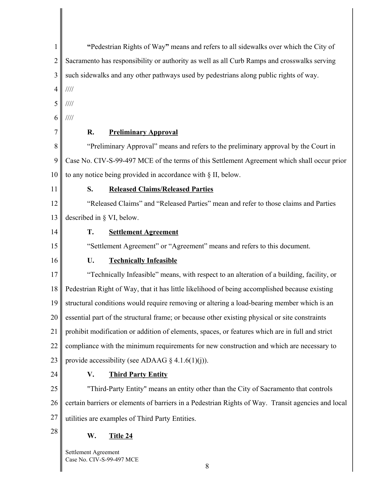| $\mathbf{1}$   | "Pedestrian Rights of Way" means and refers to all sidewalks over which the City of                |
|----------------|----------------------------------------------------------------------------------------------------|
| $\overline{2}$ | Sacramento has responsibility or authority as well as all Curb Ramps and crosswalks serving        |
| 3              | such sidewalks and any other pathways used by pedestrians along public rights of way.              |
| $\overline{4}$ | $\frac{1}{1}$                                                                                      |
| 5              | 1111                                                                                               |
| 6              | $\frac{1}{1}$                                                                                      |
| 7              | R.<br><b>Preliminary Approval</b>                                                                  |
| 8              | "Preliminary Approval" means and refers to the preliminary approval by the Court in                |
| 9              | Case No. CIV-S-99-497 MCE of the terms of this Settlement Agreement which shall occur prior        |
| 10             | to any notice being provided in accordance with § II, below.                                       |
| 11             | <b>Released Claims/Released Parties</b><br>S.                                                      |
| 12             | "Released Claims" and "Released Parties" mean and refer to those claims and Parties                |
| 13             | described in $\S$ VI, below.                                                                       |
| 14             | T.<br><b>Settlement Agreement</b>                                                                  |
| 15             | "Settlement Agreement" or "Agreement" means and refers to this document.                           |
| 16             | <b>Technically Infeasible</b><br>U.                                                                |
| 17             | "Technically Infeasible" means, with respect to an alteration of a building, facility, or          |
| 18             | Pedestrian Right of Way, that it has little likelihood of being accomplished because existing      |
| 19             | structural conditions would require removing or altering a load-bearing member which is an         |
| 20             | essential part of the structural frame; or because other existing physical or site constraints     |
| 21             | prohibit modification or addition of elements, spaces, or features which are in full and strict    |
| 22             | compliance with the minimum requirements for new construction and which are necessary to           |
| 23             | provide accessibility (see ADAAG § 4.1.6(1)(j)).                                                   |
| 24             | <b>Third Party Entity</b><br>V.                                                                    |
| 25             | "Third-Party Entity" means an entity other than the City of Sacramento that controls               |
| 26             | certain barriers or elements of barriers in a Pedestrian Rights of Way. Transit agencies and local |
| 27             | utilities are examples of Third Party Entities.                                                    |
| 28             | W.<br>Title 24                                                                                     |
|                | Settlement Agreement                                                                               |

Case No. CIV-S-99-497 MCE

 $\overline{\phantom{a}}$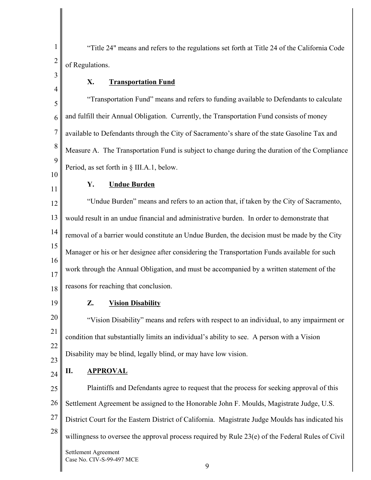1 2 "Title 24" means and refers to the regulations set forth at Title 24 of the California Code of Regulations.

#### **X. Transportation Fund**

5 6 7 8 9 "Transportation Fund" means and refers to funding available to Defendants to calculate and fulfill their Annual Obligation. Currently, the Transportation Fund consists of money available to Defendants through the City of Sacramento's share of the state Gasoline Tax and Measure A. The Transportation Fund is subject to change during the duration of the Compliance Period, as set forth in § III.A.1, below.

# **Y. Undue Burden**

12 13 14 15 16 17 18 "Undue Burden" means and refers to an action that, if taken by the City of Sacramento, would result in an undue financial and administrative burden. In order to demonstrate that removal of a barrier would constitute an Undue Burden, the decision must be made by the City Manager or his or her designee after considering the Transportation Funds available for such work through the Annual Obligation, and must be accompanied by a written statement of the reasons for reaching that conclusion.

19

3

4

10

11

#### **Z. Vision Disability**

20 21 22 23 "Vision Disability" means and refers with respect to an individual, to any impairment or condition that substantially limits an individual's ability to see. A person with a Vision Disability may be blind, legally blind, or may have low vision.

24 **II. APPROVAL** 

25 26 27 28 Plaintiffs and Defendants agree to request that the process for seeking approval of this Settlement Agreement be assigned to the Honorable John F. Moulds, Magistrate Judge, U.S. District Court for the Eastern District of California. Magistrate Judge Moulds has indicated his willingness to oversee the approval process required by Rule 23(e) of the Federal Rules of Civil Settlement Agreement Case No. CIV-S-99-497 MCE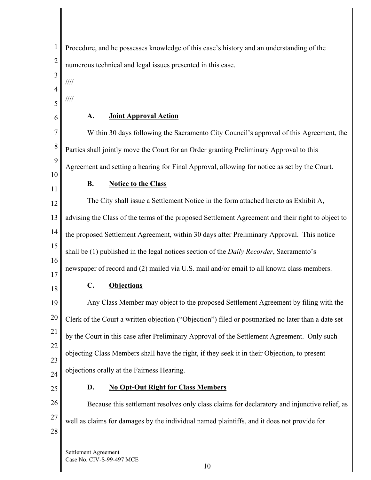1 2 3 4 5 6 7 8 9 10 11 12 13 14 15 16 17 18 19 20 21 22 23 24 25 26 27 28 Procedure, and he possesses knowledge of this case's history and an understanding of the numerous technical and legal issues presented in this case. //// //// **A. Joint Approval Action**  Within 30 days following the Sacramento City Council's approval of this Agreement, the Parties shall jointly move the Court for an Order granting Preliminary Approval to this Agreement and setting a hearing for Final Approval, allowing for notice as set by the Court. **B. Notice to the Class**  The City shall issue a Settlement Notice in the form attached hereto as Exhibit A, advising the Class of the terms of the proposed Settlement Agreement and their right to object to the proposed Settlement Agreement, within 30 days after Preliminary Approval. This notice shall be (1) published in the legal notices section of the *Daily Recorder*, Sacramento's newspaper of record and (2) mailed via U.S. mail and/or email to all known class members. **C. Objections**  Any Class Member may object to the proposed Settlement Agreement by filing with the Clerk of the Court a written objection ("Objection") filed or postmarked no later than a date set by the Court in this case after Preliminary Approval of the Settlement Agreement. Only such objecting Class Members shall have the right, if they seek it in their Objection, to present objections orally at the Fairness Hearing. **D. No Opt-Out Right for Class Members**  Because this settlement resolves only class claims for declaratory and injunctive relief, as well as claims for damages by the individual named plaintiffs, and it does not provide for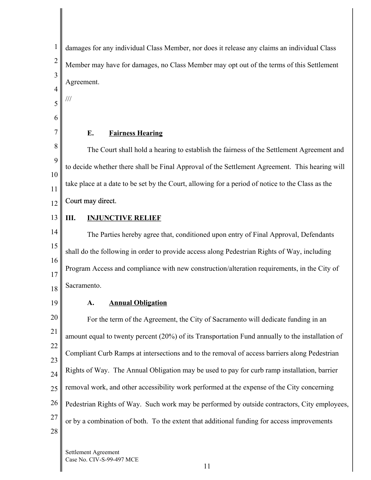3 damages for any individual Class Member, nor does it release any claims an individual Class Member may have for damages, no Class Member may opt out of the terms of this Settlement Agreement.

5

///

4

1

2

6

7

#### **E. Fairness Hearing**

8 The Court shall hold a hearing to establish the fairness of the Settlement Agreement and 9 to decide whether there shall be Final Approval of the Settlement Agreement. This hearing will 10 take place at a date to be set by the Court, allowing for a period of notice to the Class as the 11 Court may direct.

- 12
- 13

## **III. INJUNCTIVE RELIEF**

14 15 16 17 18 The Parties hereby agree that, conditioned upon entry of Final Approval, Defendants shall do the following in order to provide access along Pedestrian Rights of Way, including Program Access and compliance with new construction/alteration requirements, in the City of Sacramento.

19

#### **A. Annual Obligation**

20 21 22 23 24 25 26 27 28 For the term of the Agreement, the City of Sacramento will dedicate funding in an amount equal to twenty percent (20%) of its Transportation Fund annually to the installation of Compliant Curb Ramps at intersections and to the removal of access barriers along Pedestrian Rights of Way. The Annual Obligation may be used to pay for curb ramp installation, barrier removal work, and other accessibility work performed at the expense of the City concerning Pedestrian Rights of Way. Such work may be performed by outside contractors, City employees, or by a combination of both. To the extent that additional funding for access improvements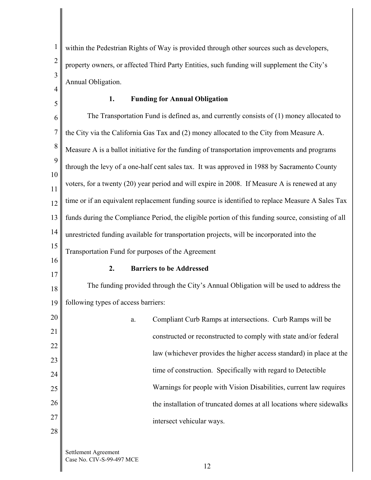1 2 3 within the Pedestrian Rights of Way is provided through other sources such as developers, property owners, or affected Third Party Entities, such funding will supplement the City's Annual Obligation.

4 5

#### **1. Funding for Annual Obligation**

6 7 8 9 10 11 12 13 14 15 The Transportation Fund is defined as, and currently consists of (1) money allocated to the City via the California Gas Tax and (2) money allocated to the City from Measure A. Measure A is a ballot initiative for the funding of transportation improvements and programs through the levy of a one-half cent sales tax. It was approved in 1988 by Sacramento County voters, for a twenty (20) year period and will expire in 2008. If Measure A is renewed at any time or if an equivalent replacement funding source is identified to replace Measure A Sales Tax funds during the Compliance Period, the eligible portion of this funding source, consisting of all unrestricted funding available for transportation projects, will be incorporated into the Transportation Fund for purposes of the Agreement

16 17

#### **2. Barriers to be Addressed**

18 19 The funding provided through the City's Annual Obligation will be used to address the following types of access barriers:

| 20 | a. | Compliant Curb Ramps at intersections. Curb Ramps will be            |
|----|----|----------------------------------------------------------------------|
| 21 |    | constructed or reconstructed to comply with state and/or federal     |
| 22 |    | law (whichever provides the higher access standard) in place at the  |
| 23 |    |                                                                      |
| 24 |    | time of construction. Specifically with regard to Detectible         |
| 25 |    | Warnings for people with Vision Disabilities, current law requires   |
| 26 |    | the installation of truncated domes at all locations where sidewalks |
| 27 |    | intersect vehicular ways.                                            |
| 28 |    |                                                                      |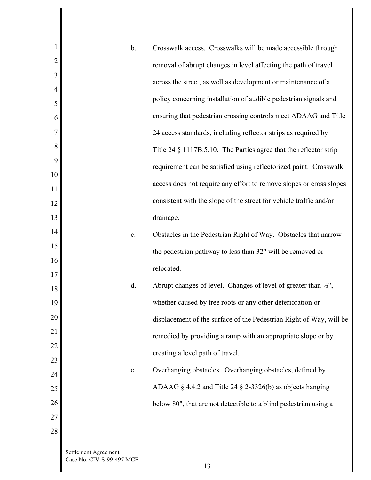| 1              | b.                                                | Crosswalk access. Crosswalks will be made accessible through               |
|----------------|---------------------------------------------------|----------------------------------------------------------------------------|
| $\overline{2}$ |                                                   | removal of abrupt changes in level affecting the path of travel            |
| 3              |                                                   | across the street, as well as development or maintenance of a              |
| 4<br>5         |                                                   | policy concerning installation of audible pedestrian signals and           |
| 6              |                                                   | ensuring that pedestrian crossing controls meet ADAAG and Title            |
| 7              |                                                   | 24 access standards, including reflector strips as required by             |
| 8              |                                                   | Title 24 § 1117B.5.10. The Parties agree that the reflector strip          |
| 9              |                                                   | requirement can be satisfied using reflectorized paint. Crosswalk          |
| 10             |                                                   |                                                                            |
| 11             |                                                   | access does not require any effort to remove slopes or cross slopes        |
| 12             |                                                   | consistent with the slope of the street for vehicle traffic and/or         |
| 13             |                                                   | drainage.                                                                  |
| 14             | $\mathbf{c}$ .                                    | Obstacles in the Pedestrian Right of Way. Obstacles that narrow            |
| 15             |                                                   | the pedestrian pathway to less than 32" will be removed or                 |
| 16<br>17       |                                                   | relocated.                                                                 |
| 18             | d.                                                | Abrupt changes of level. Changes of level of greater than $\frac{1}{2}$ ", |
| 19             |                                                   | whether caused by tree roots or any other deterioration or                 |
| 20             |                                                   | displacement of the surface of the Pedestrian Right of Way, will be        |
| 21             |                                                   | remedied by providing a ramp with an appropriate slope or by               |
| 22             |                                                   | creating a level path of travel.                                           |
| 23             |                                                   |                                                                            |
| 24             | e.                                                | Overhanging obstacles. Overhanging obstacles, defined by                   |
| 25             |                                                   | ADAAG $\S$ 4.4.2 and Title 24 $\S$ 2-3326(b) as objects hanging            |
| 26             |                                                   | below 80", that are not detectible to a blind pedestrian using a           |
| 27             |                                                   |                                                                            |
| 28             |                                                   |                                                                            |
|                | Settlement Agreement<br>Case No. CIV-S-99-497 MCE |                                                                            |

 $\mathsf{l}$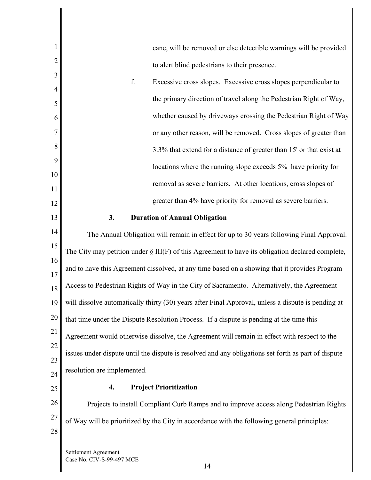| 1              | cane, will be removed or else detectible warnings will be provided                                  |
|----------------|-----------------------------------------------------------------------------------------------------|
| $\overline{2}$ | to alert blind pedestrians to their presence.                                                       |
| 3              | f.<br>Excessive cross slopes. Excessive cross slopes perpendicular to                               |
| 4              | the primary direction of travel along the Pedestrian Right of Way,                                  |
| 5              | whether caused by driveways crossing the Pedestrian Right of Way                                    |
| 6              |                                                                                                     |
| 7              | or any other reason, will be removed. Cross slopes of greater than                                  |
| 8<br>9         | 3.3% that extend for a distance of greater than 15' or that exist at                                |
| 10             | locations where the running slope exceeds 5% have priority for                                      |
| 11             | removal as severe barriers. At other locations, cross slopes of                                     |
| 12             | greater than 4% have priority for removal as severe barriers.                                       |
| 13             | 3.<br><b>Duration of Annual Obligation</b>                                                          |
| 14             | The Annual Obligation will remain in effect for up to 30 years following Final Approval.            |
| 15             | The City may petition under $\S$ III(F) of this Agreement to have its obligation declared complete, |
| 16             | and to have this Agreement dissolved, at any time based on a showing that it provides Program       |
| 17<br>18       | Access to Pedestrian Rights of Way in the City of Sacramento. Alternatively, the Agreement          |
| 19             | will dissolve automatically thirty (30) years after Final Approval, unless a dispute is pending at  |
| 20             | that time under the Dispute Resolution Process. If a dispute is pending at the time this            |
| 21             | Agreement would otherwise dissolve, the Agreement will remain in effect with respect to the         |
| 22             | issues under dispute until the dispute is resolved and any obligations set forth as part of dispute |
| 23             | resolution are implemented.                                                                         |
| 24<br>25       | <b>Project Prioritization</b><br>4.                                                                 |
| 26             | Projects to install Compliant Curb Ramps and to improve access along Pedestrian Rights              |
| 27             |                                                                                                     |
| 28             | of Way will be prioritized by the City in accordance with the following general principles:         |
|                | Settlement Agreement<br>Case No. CIV-S-99-497 MCE<br>14                                             |

 $\mathsf{l}$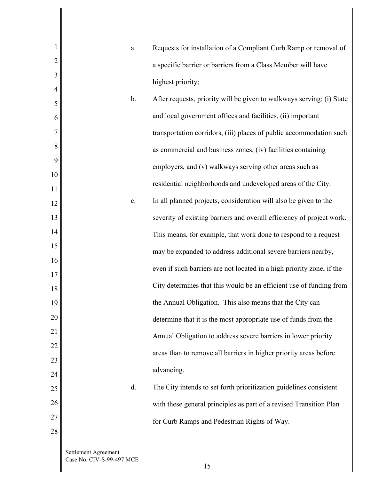| 1              | a.                                                | Requests for installation of a Compliant Curb Ramp or removal of      |
|----------------|---------------------------------------------------|-----------------------------------------------------------------------|
| $\overline{2}$ |                                                   | a specific barrier or barriers from a Class Member will have          |
| 3              |                                                   | highest priority;                                                     |
| 4              | b.                                                | After requests, priority will be given to walkways serving: (i) State |
| 5<br>6         |                                                   | and local government offices and facilities, (ii) important           |
| $\overline{7}$ |                                                   | transportation corridors, (iii) places of public accommodation such   |
| 8              |                                                   |                                                                       |
| 9              |                                                   | as commercial and business zones, (iv) facilities containing          |
| 10             |                                                   | employers, and (v) walkways serving other areas such as               |
| 11             |                                                   | residential neighborhoods and undeveloped areas of the City.          |
| 12             | $\mathbf{C}.$                                     | In all planned projects, consideration will also be given to the      |
| 13             |                                                   | severity of existing barriers and overall efficiency of project work. |
| 14             |                                                   | This means, for example, that work done to respond to a request       |
| 15             |                                                   | may be expanded to address additional severe barriers nearby,         |
| 16             |                                                   | even if such barriers are not located in a high priority zone, if the |
| 17             |                                                   | City determines that this would be an efficient use of funding from   |
| 18<br>19       |                                                   | the Annual Obligation. This also means that the City can              |
| 20             |                                                   | determine that it is the most appropriate use of funds from the       |
| 21             |                                                   |                                                                       |
| 22             |                                                   | Annual Obligation to address severe barriers in lower priority        |
| 23             |                                                   | areas than to remove all barriers in higher priority areas before     |
| 24             |                                                   | advancing.                                                            |
| 25             | d.                                                | The City intends to set forth prioritization guidelines consistent    |
| 26             |                                                   | with these general principles as part of a revised Transition Plan    |
| 27             |                                                   | for Curb Ramps and Pedestrian Rights of Way.                          |
| 28             |                                                   |                                                                       |
|                | Settlement Agreement<br>Case No. CIV-S-99-497 MCE | 15                                                                    |

 $\mathbf{I}$ 

 $\parallel$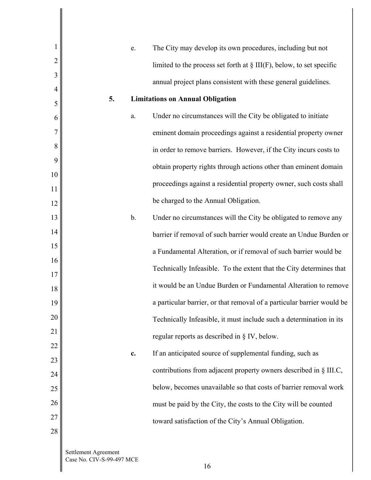| 1              | e.                                         | The City may develop its own procedures, including but not              |
|----------------|--------------------------------------------|-------------------------------------------------------------------------|
| $\overline{2}$ |                                            | limited to the process set forth at $\S$ III(F), below, to set specific |
| 3              |                                            | annual project plans consistent with these general guidelines.          |
| 4              | 5.                                         | <b>Limitations on Annual Obligation</b>                                 |
| 5<br>6         | a.                                         | Under no circumstances will the City be obligated to initiate           |
| 7              |                                            | eminent domain proceedings against a residential property owner         |
| 8              |                                            |                                                                         |
| 9              |                                            | in order to remove barriers. However, if the City incurs costs to       |
| 10             |                                            | obtain property rights through actions other than eminent domain        |
| 11             |                                            | proceedings against a residential property owner, such costs shall      |
| 12             |                                            | be charged to the Annual Obligation.                                    |
| 13             | $b$ .                                      | Under no circumstances will the City be obligated to remove any         |
| 14             |                                            | barrier if removal of such barrier would create an Undue Burden or      |
| 15             |                                            | a Fundamental Alteration, or if removal of such barrier would be        |
| 16<br>17       |                                            | Technically Infeasible. To the extent that the City determines that     |
| 18             |                                            | it would be an Undue Burden or Fundamental Alteration to remove         |
| 19             |                                            | a particular barrier, or that removal of a particular barrier would be  |
| 20             |                                            | Technically Infeasible, it must include such a determination in its     |
| 21             |                                            | regular reports as described in § IV, below.                            |
| 22             | c.                                         | If an anticipated source of supplemental funding, such as               |
| 23             |                                            |                                                                         |
| 24             |                                            | contributions from adjacent property owners described in § III.C,       |
| 25             |                                            | below, becomes unavailable so that costs of barrier removal work        |
| 26             |                                            | must be paid by the City, the costs to the City will be counted         |
| 27             |                                            | toward satisfaction of the City's Annual Obligation.                    |
| 28             |                                            |                                                                         |
|                | Settlement Agreement<br>$CIV$ C 00 407 MCE |                                                                         |

Case No. CIV-S-99-497 MCE

 $\mathsf{l}$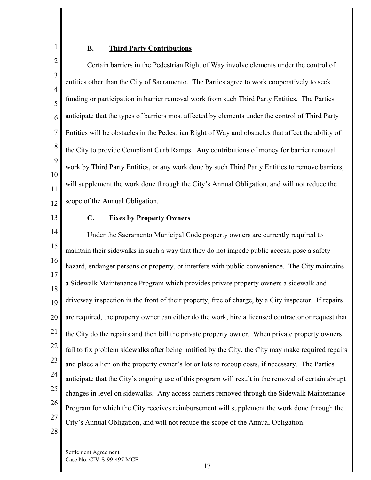# 2

1

#### **B. Third Party Contributions**

3 4 5 6 7 8 9 10 11 12 Certain barriers in the Pedestrian Right of Way involve elements under the control of entities other than the City of Sacramento. The Parties agree to work cooperatively to seek funding or participation in barrier removal work from such Third Party Entities. The Parties anticipate that the types of barriers most affected by elements under the control of Third Party Entities will be obstacles in the Pedestrian Right of Way and obstacles that affect the ability of the City to provide Compliant Curb Ramps. Any contributions of money for barrier removal work by Third Party Entities, or any work done by such Third Party Entities to remove barriers, will supplement the work done through the City's Annual Obligation, and will not reduce the scope of the Annual Obligation.

13

#### **C. Fixes by Property Owners**

14 15 16 17 18 19 20 21 22 23 24 25 26 27 28 Under the Sacramento Municipal Code property owners are currently required to maintain their sidewalks in such a way that they do not impede public access, pose a safety hazard, endanger persons or property, or interfere with public convenience. The City maintains a Sidewalk Maintenance Program which provides private property owners a sidewalk and driveway inspection in the front of their property, free of charge, by a City inspector. If repairs are required, the property owner can either do the work, hire a licensed contractor or request that the City do the repairs and then bill the private property owner. When private property owners fail to fix problem sidewalks after being notified by the City, the City may make required repairs and place a lien on the property owner's lot or lots to recoup costs, if necessary. The Parties anticipate that the City's ongoing use of this program will result in the removal of certain abrupt changes in level on sidewalks. Any access barriers removed through the Sidewalk Maintenance Program for which the City receives reimbursement will supplement the work done through the City's Annual Obligation, and will not reduce the scope of the Annual Obligation.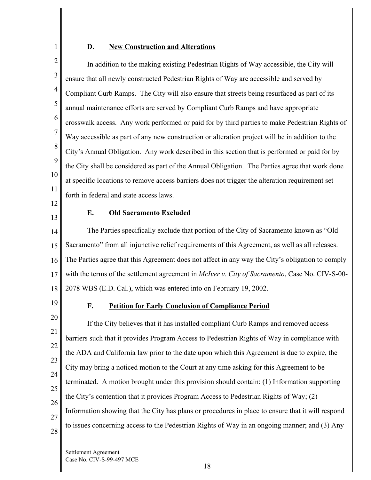#### **D. New Construction and Alterations**

2 3 4 5 6 7 8 9 10 11 In addition to the making existing Pedestrian Rights of Way accessible, the City will ensure that all newly constructed Pedestrian Rights of Way are accessible and served by Compliant Curb Ramps. The City will also ensure that streets being resurfaced as part of its annual maintenance efforts are served by Compliant Curb Ramps and have appropriate crosswalk access. Any work performed or paid for by third parties to make Pedestrian Rights of Way accessible as part of any new construction or alteration project will be in addition to the City's Annual Obligation. Any work described in this section that is performed or paid for by the City shall be considered as part of the Annual Obligation. The Parties agree that work done at specific locations to remove access barriers does not trigger the alteration requirement set forth in federal and state access laws.

12 13

1

#### **E. Old Sacramento Excluded**

14 15 16 17 18 The Parties specifically exclude that portion of the City of Sacramento known as "Old Sacramento" from all injunctive relief requirements of this Agreement, as well as all releases. The Parties agree that this Agreement does not affect in any way the City's obligation to comply with the terms of the settlement agreement in *McIver v. City of Sacramento*, Case No. CIV-S-00- 2078 WBS (E.D. Cal.), which was entered into on February 19, 2002.

19

#### **F. Petition for Early Conclusion of Compliance Period**

20 21 22 23 24 25 26 27 28 If the City believes that it has installed compliant Curb Ramps and removed access barriers such that it provides Program Access to Pedestrian Rights of Way in compliance with the ADA and California law prior to the date upon which this Agreement is due to expire, the City may bring a noticed motion to the Court at any time asking for this Agreement to be terminated. A motion brought under this provision should contain: (1) Information supporting the City's contention that it provides Program Access to Pedestrian Rights of Way; (2) Information showing that the City has plans or procedures in place to ensure that it will respond to issues concerning access to the Pedestrian Rights of Way in an ongoing manner; and (3) Any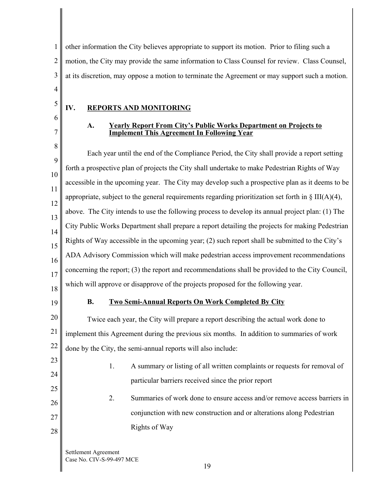1 2 3 4 other information the City believes appropriate to support its motion. Prior to filing such a motion, the City may provide the same information to Class Counsel for review. Class Counsel, at its discretion, may oppose a motion to terminate the Agreement or may support such a motion.

#### **IV. REPORTS AND MONITORING**

6 7

5

#### **A. Yearly Report From City's Public Works Department on Projects to Implement This Agreement In Following Year**

8 9 10 11 12 13 14 15 16 17 18 Each year until the end of the Compliance Period, the City shall provide a report setting forth a prospective plan of projects the City shall undertake to make Pedestrian Rights of Way accessible in the upcoming year. The City may develop such a prospective plan as it deems to be appropriate, subject to the general requirements regarding prioritization set forth in  $\S$  III(A)(4), above. The City intends to use the following process to develop its annual project plan: (1) The City Public Works Department shall prepare a report detailing the projects for making Pedestrian Rights of Way accessible in the upcoming year; (2) such report shall be submitted to the City's ADA Advisory Commission which will make pedestrian access improvement recommendations concerning the report; (3) the report and recommendations shall be provided to the City Council, which will approve or disapprove of the projects proposed for the following year.

19

#### **B. Two Semi-Annual Reports On Work Completed By City**

20 21 22 Twice each year, the City will prepare a report describing the actual work done to implement this Agreement during the previous six months. In addition to summaries of work done by the City, the semi-annual reports will also include:

23 24

25

26

27

28

- 1. A summary or listing of all written complaints or requests for removal of particular barriers received since the prior report
- 2. Summaries of work done to ensure access and/or remove access barriers in conjunction with new construction and or alterations along Pedestrian Rights of Way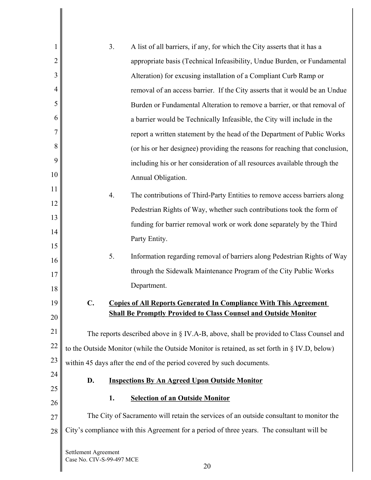| 1              |                                                   | 3. | A list of all barriers, if any, for which the City asserts that it has a                      |
|----------------|---------------------------------------------------|----|-----------------------------------------------------------------------------------------------|
| $\overline{2}$ |                                                   |    | appropriate basis (Technical Infeasibility, Undue Burden, or Fundamental                      |
| 3              |                                                   |    | Alteration) for excusing installation of a Compliant Curb Ramp or                             |
| 4              |                                                   |    | removal of an access barrier. If the City asserts that it would be an Undue                   |
| 5              |                                                   |    | Burden or Fundamental Alteration to remove a barrier, or that removal of                      |
| 6              |                                                   |    | a barrier would be Technically Infeasible, the City will include in the                       |
| 7              |                                                   |    | report a written statement by the head of the Department of Public Works                      |
| 8              |                                                   |    | (or his or her designee) providing the reasons for reaching that conclusion,                  |
| 9              |                                                   |    | including his or her consideration of all resources available through the                     |
| 10             |                                                   |    | Annual Obligation.                                                                            |
| 11             |                                                   | 4. | The contributions of Third-Party Entities to remove access barriers along                     |
| 12             |                                                   |    | Pedestrian Rights of Way, whether such contributions took the form of                         |
| 13             |                                                   |    | funding for barrier removal work or work done separately by the Third                         |
| 14<br>15       |                                                   |    | Party Entity.                                                                                 |
| 16             |                                                   | 5. | Information regarding removal of barriers along Pedestrian Rights of Way                      |
| 17             |                                                   |    | through the Sidewalk Maintenance Program of the City Public Works                             |
| 18             |                                                   |    | Department.                                                                                   |
| 19             | $\mathbf{C}$ .                                    |    | <b>Copies of All Reports Generated In Compliance With This Agreement</b>                      |
| 20             |                                                   |    | <b>Shall Be Promptly Provided to Class Counsel and Outside Monitor</b>                        |
| 21             |                                                   |    | The reports described above in § IV.A-B, above, shall be provided to Class Counsel and        |
| 22             |                                                   |    | to the Outside Monitor (while the Outside Monitor is retained, as set forth in § IV.D, below) |
| 23             |                                                   |    | within 45 days after the end of the period covered by such documents.                         |
| 24             | D.                                                |    | <b>Inspections By An Agreed Upon Outside Monitor</b>                                          |
| 25             |                                                   | 1. | <b>Selection of an Outside Monitor</b>                                                        |
| 26             |                                                   |    |                                                                                               |
| 27             |                                                   |    | The City of Sacramento will retain the services of an outside consultant to monitor the       |
| 28             |                                                   |    | City's compliance with this Agreement for a period of three years. The consultant will be     |
|                | Settlement Agreement<br>Case No. CIV-S-99-497 MCE |    |                                                                                               |

 $\parallel$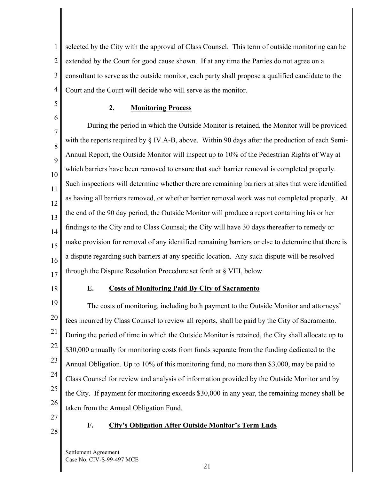1 2 3 4 selected by the City with the approval of Class Counsel. This term of outside monitoring can be extended by the Court for good cause shown. If at any time the Parties do not agree on a consultant to serve as the outside monitor, each party shall propose a qualified candidate to the Court and the Court will decide who will serve as the monitor.

5

6

#### **2. Monitoring Process**

7 8 9 10 11 12 13 14 15 16 17 During the period in which the Outside Monitor is retained, the Monitor will be provided with the reports required by § IV.A-B, above. Within 90 days after the production of each Semi-Annual Report, the Outside Monitor will inspect up to 10% of the Pedestrian Rights of Way at which barriers have been removed to ensure that such barrier removal is completed properly. Such inspections will determine whether there are remaining barriers at sites that were identified as having all barriers removed, or whether barrier removal work was not completed properly. At the end of the 90 day period, the Outside Monitor will produce a report containing his or her findings to the City and to Class Counsel; the City will have 30 days thereafter to remedy or make provision for removal of any identified remaining barriers or else to determine that there is a dispute regarding such barriers at any specific location. Any such dispute will be resolved through the Dispute Resolution Procedure set forth at § VIII, below.

18

#### **E. Costs of Monitoring Paid By City of Sacramento**

19 20 21 22 23 24 25 26 The costs of monitoring, including both payment to the Outside Monitor and attorneys' fees incurred by Class Counsel to review all reports, shall be paid by the City of Sacramento. During the period of time in which the Outside Monitor is retained, the City shall allocate up to \$30,000 annually for monitoring costs from funds separate from the funding dedicated to the Annual Obligation. Up to 10% of this monitoring fund, no more than \$3,000, may be paid to Class Counsel for review and analysis of information provided by the Outside Monitor and by the City. If payment for monitoring exceeds \$30,000 in any year, the remaining money shall be taken from the Annual Obligation Fund.

- 27
- 28

#### **F. City's Obligation After Outside Monitor's Term Ends**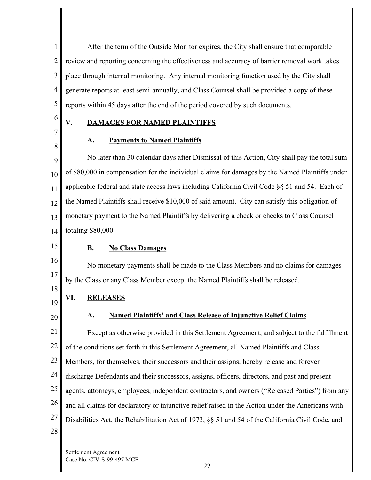1 2 3 4 5 After the term of the Outside Monitor expires, the City shall ensure that comparable review and reporting concerning the effectiveness and accuracy of barrier removal work takes place through internal monitoring. Any internal monitoring function used by the City shall generate reports at least semi-annually, and Class Counsel shall be provided a copy of these reports within 45 days after the end of the period covered by such documents.

6 7

8

# **V. DAMAGES FOR NAMED PLAINTIFFS**

## **A. Payments to Named Plaintiffs**

9 10 11 12 13 14 No later than 30 calendar days after Dismissal of this Action, City shall pay the total sum of \$80,000 in compensation for the individual claims for damages by the Named Plaintiffs under applicable federal and state access laws including California Civil Code §§ 51 and 54. Each of the Named Plaintiffs shall receive \$10,000 of said amount. City can satisfy this obligation of monetary payment to the Named Plaintiffs by delivering a check or checks to Class Counsel totaling \$80,000.

15

16

17

18

## **B. No Class Damages**

No monetary payments shall be made to the Class Members and no claims for damages by the Class or any Class Member except the Named Plaintiffs shall be released.

- 19 **VI. RELEASES**
- 20

#### **A. Named Plaintiffs' and Class Release of Injunctive Relief Claims**

21 22 23 24 25 26 27 28 Except as otherwise provided in this Settlement Agreement, and subject to the fulfillment of the conditions set forth in this Settlement Agreement, all Named Plaintiffs and Class Members, for themselves, their successors and their assigns, hereby release and forever discharge Defendants and their successors, assigns, officers, directors, and past and present agents, attorneys, employees, independent contractors, and owners ("Released Parties") from any and all claims for declaratory or injunctive relief raised in the Action under the Americans with Disabilities Act, the Rehabilitation Act of 1973, §§ 51 and 54 of the California Civil Code, and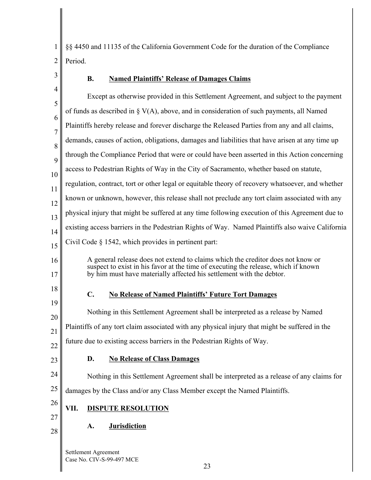1 §§ 4450 and 11135 of the California Government Code for the duration of the Compliance 2 Period.

3

# **B. Named Plaintiffs' Release of Damages Claims**

| 4                   | Except as otherwise provided in this Settlement Agreement, and subject to the payment                                                                      |
|---------------------|------------------------------------------------------------------------------------------------------------------------------------------------------------|
| 5                   | of funds as described in $\S V(A)$ , above, and in consideration of such payments, all Named                                                               |
| 6<br>$\overline{7}$ | Plaintiffs hereby release and forever discharge the Released Parties from any and all claims,                                                              |
| 8                   | demands, causes of action, obligations, damages and liabilities that have arisen at any time up                                                            |
| 9                   | through the Compliance Period that were or could have been asserted in this Action concerning                                                              |
| 10                  | access to Pedestrian Rights of Way in the City of Sacramento, whether based on statute,                                                                    |
| 11                  | regulation, contract, tort or other legal or equitable theory of recovery whatsoever, and whether                                                          |
| 12                  | known or unknown, however, this release shall not preclude any tort claim associated with any                                                              |
| 13                  | physical injury that might be suffered at any time following execution of this Agreement due to                                                            |
| 14                  | existing access barriers in the Pedestrian Rights of Way. Named Plaintiffs also waive California                                                           |
| 15                  | Civil Code § 1542, which provides in pertinent part:                                                                                                       |
| 16                  | A general release does not extend to claims which the creditor does not know or                                                                            |
| 17                  | suspect to exist in his favor at the time of executing the release, which if known<br>by him must have materially affected his settlement with the debtor. |
| 18                  |                                                                                                                                                            |
| 19                  | $\mathbf{C}$ .<br><b>No Release of Named Plaintiffs' Future Tort Damages</b>                                                                               |
| 20                  | Nothing in this Settlement Agreement shall be interpreted as a release by Named                                                                            |
| 21                  | Plaintiffs of any tort claim associated with any physical injury that might be suffered in the                                                             |
| 22                  | future due to existing access barriers in the Pedestrian Rights of Way.                                                                                    |
| 23                  | D.<br><b>No Release of Class Damages</b>                                                                                                                   |
| 24                  | Nothing in this Settlement Agreement shall be interpreted as a release of any claims for                                                                   |
| 25                  | damages by the Class and/or any Class Member except the Named Plaintiffs.                                                                                  |
| 26                  |                                                                                                                                                            |
| 27                  | <b>DISPUTE RESOLUTION</b><br>VII.                                                                                                                          |
| 28                  | <b>Jurisdiction</b><br>A.                                                                                                                                  |
|                     | Settlement Agreement                                                                                                                                       |
|                     | Case No. CIV-S-99-497 MCE                                                                                                                                  |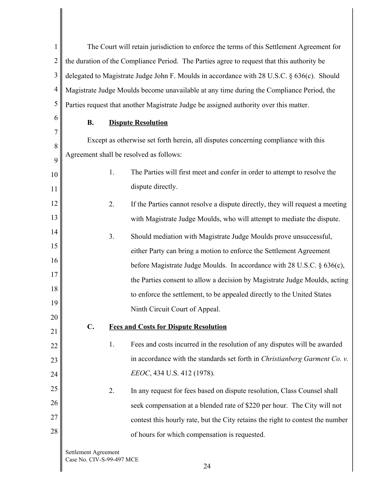1 2 3 4 5 The Court will retain jurisdiction to enforce the terms of this Settlement Agreement for the duration of the Compliance Period. The Parties agree to request that this authority be delegated to Magistrate Judge John F. Moulds in accordance with 28 U.S.C. § 636(c). Should Magistrate Judge Moulds become unavailable at any time during the Compliance Period, the Parties request that another Magistrate Judge be assigned authority over this matter.

6

#### **B. Dispute Resolution**

7 8 9 10 11 12 13 14 15 16 17 18 19 20 21 22 23 24 25 26 27 28 Except as otherwise set forth herein, all disputes concerning compliance with this Agreement shall be resolved as follows: 1. The Parties will first meet and confer in order to attempt to resolve the dispute directly. 2. If the Parties cannot resolve a dispute directly, they will request a meeting with Magistrate Judge Moulds, who will attempt to mediate the dispute. 3. Should mediation with Magistrate Judge Moulds prove unsuccessful, either Party can bring a motion to enforce the Settlement Agreement before Magistrate Judge Moulds. In accordance with 28 U.S.C. § 636(c), the Parties consent to allow a decision by Magistrate Judge Moulds, acting to enforce the settlement, to be appealed directly to the United States Ninth Circuit Court of Appeal. **C. Fees and Costs for Dispute Resolution**  1. Fees and costs incurred in the resolution of any disputes will be awarded in accordance with the standards set forth in *Christianberg Garment Co. v. EEOC*, 434 U.S. 412 (1978). 2. In any request for fees based on dispute resolution, Class Counsel shall seek compensation at a blended rate of \$220 per hour. The City will not contest this hourly rate, but the City retains the right to contest the number of hours for which compensation is requested.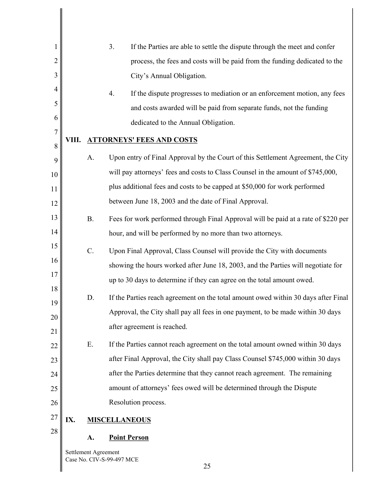| 1              |     |                      | 3.<br>If the Parties are able to settle the dispute through the meet and confer    |
|----------------|-----|----------------------|------------------------------------------------------------------------------------|
| $\overline{c}$ |     |                      | process, the fees and costs will be paid from the funding dedicated to the         |
| 3              |     |                      | City's Annual Obligation.                                                          |
| 4              |     |                      | 4.<br>If the dispute progresses to mediation or an enforcement motion, any fees    |
| 5              |     |                      | and costs awarded will be paid from separate funds, not the funding                |
| 6              |     |                      | dedicated to the Annual Obligation.                                                |
| 7              |     |                      | VIII. ATTORNEYS' FEES AND COSTS                                                    |
| 8              |     |                      |                                                                                    |
| 9              |     | A.                   | Upon entry of Final Approval by the Court of this Settlement Agreement, the City   |
| 10             |     |                      | will pay attorneys' fees and costs to Class Counsel in the amount of \$745,000,    |
| 11             |     |                      | plus additional fees and costs to be capped at \$50,000 for work performed         |
| 12             |     |                      | between June 18, 2003 and the date of Final Approval.                              |
| 13             |     | <b>B.</b>            | Fees for work performed through Final Approval will be paid at a rate of \$220 per |
| 14             |     |                      | hour, and will be performed by no more than two attorneys.                         |
| 15             |     | $C$ .                | Upon Final Approval, Class Counsel will provide the City with documents            |
| 16             |     |                      | showing the hours worked after June 18, 2003, and the Parties will negotiate for   |
| 17             |     |                      | up to 30 days to determine if they can agree on the total amount owed.             |
| 18             |     | D.                   | If the Parties reach agreement on the total amount owed within 30 days after Final |
| 19             |     |                      | Approval, the City shall pay all fees in one payment, to be made within 30 days    |
| 20             |     |                      | after agreement is reached.                                                        |
| 21             |     |                      |                                                                                    |
| 22             |     | Ε.                   | If the Parties cannot reach agreement on the total amount owned within 30 days     |
| 23             |     |                      | after Final Approval, the City shall pay Class Counsel \$745,000 within 30 days    |
| 24             |     |                      | after the Parties determine that they cannot reach agreement. The remaining        |
| 25             |     |                      | amount of attorneys' fees owed will be determined through the Dispute              |
| 26             |     |                      | Resolution process.                                                                |
| 27             | IX. |                      | <b>MISCELLANEOUS</b>                                                               |
| 28             |     | A.                   | <b>Point Person</b>                                                                |
|                |     | Settlement Agreement |                                                                                    |
|                |     |                      |                                                                                    |

25

Case No. CIV-S-99-497 MCE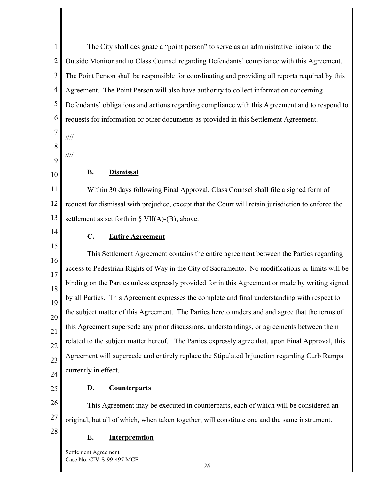1 2 3 4 5 6 7 8 9 10 11 12 13 14 15 16 17 18 19 20 21 22 23 24 The City shall designate a "point person" to serve as an administrative liaison to the Outside Monitor and to Class Counsel regarding Defendants' compliance with this Agreement. The Point Person shall be responsible for coordinating and providing all reports required by this Agreement. The Point Person will also have authority to collect information concerning Defendants' obligations and actions regarding compliance with this Agreement and to respond to requests for information or other documents as provided in this Settlement Agreement. //// //// **B. Dismissal**  Within 30 days following Final Approval, Class Counsel shall file a signed form of request for dismissal with prejudice, except that the Court will retain jurisdiction to enforce the settlement as set forth in  $\S$  VII(A)-(B), above. **C. Entire Agreement**  This Settlement Agreement contains the entire agreement between the Parties regarding access to Pedestrian Rights of Way in the City of Sacramento. No modifications or limits will be binding on the Parties unless expressly provided for in this Agreement or made by writing signed by all Parties. This Agreement expresses the complete and final understanding with respect to the subject matter of this Agreement. The Parties hereto understand and agree that the terms of this Agreement supersede any prior discussions, understandings, or agreements between them related to the subject matter hereof. The Parties expressly agree that, upon Final Approval, this Agreement will supercede and entirely replace the Stipulated Injunction regarding Curb Ramps currently in effect.

25

#### **D. Counterparts**

26 27 This Agreement may be executed in counterparts, each of which will be considered an original, but all of which, when taken together, will constitute one and the same instrument.

28

# **E. Interpretation**

Settlement Agreement Case No. CIV-S-99-497 MCE

26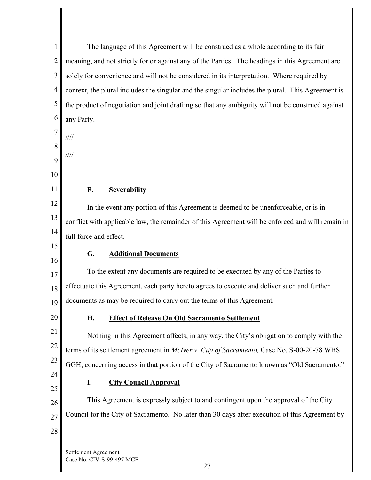| 1              | The language of this Agreement will be construed as a whole according to its fair                 |  |  |
|----------------|---------------------------------------------------------------------------------------------------|--|--|
| $\overline{2}$ | meaning, and not strictly for or against any of the Parties. The headings in this Agreement are   |  |  |
| 3              | solely for convenience and will not be considered in its interpretation. Where required by        |  |  |
| $\overline{4}$ | context, the plural includes the singular and the singular includes the plural. This Agreement is |  |  |
| 5              | the product of negotiation and joint drafting so that any ambiguity will not be construed against |  |  |
| 6              | any Party.                                                                                        |  |  |
| 7              | $\frac{1}{1}$                                                                                     |  |  |
| 8              | $\frac{1}{1}$                                                                                     |  |  |
| 9              |                                                                                                   |  |  |
| 10             |                                                                                                   |  |  |
| 11             | F.<br><b>Severability</b>                                                                         |  |  |
| 12             | In the event any portion of this Agreement is deemed to be unenforceable, or is in                |  |  |
| 13             | conflict with applicable law, the remainder of this Agreement will be enforced and will remain in |  |  |
| 14<br>15       | full force and effect.                                                                            |  |  |
| 16             | <b>Additional Documents</b><br>G.                                                                 |  |  |
| 17             | To the extent any documents are required to be executed by any of the Parties to                  |  |  |
| 18             | effectuate this Agreement, each party hereto agrees to execute and deliver such and further       |  |  |
| 19             | documents as may be required to carry out the terms of this Agreement.                            |  |  |
| 20             | <b>Effect of Release On Old Sacramento Settlement</b><br>Н.                                       |  |  |
| 21             | Nothing in this Agreement affects, in any way, the City's obligation to comply with the           |  |  |
| 22             | terms of its settlement agreement in McIver v. City of Sacramento, Case No. S-00-20-78 WBS        |  |  |
| 23             | GGH, concerning access in that portion of the City of Sacramento known as "Old Sacramento."       |  |  |
| 24             | <b>City Council Approval</b><br>I.                                                                |  |  |
| 25             |                                                                                                   |  |  |
| 26             | This Agreement is expressly subject to and contingent upon the approval of the City               |  |  |
| 27             | Council for the City of Sacramento. No later than 30 days after execution of this Agreement by    |  |  |
| 28             |                                                                                                   |  |  |
|                | Settlement Agreement                                                                              |  |  |

Case No. CIV-S-99-497 MCE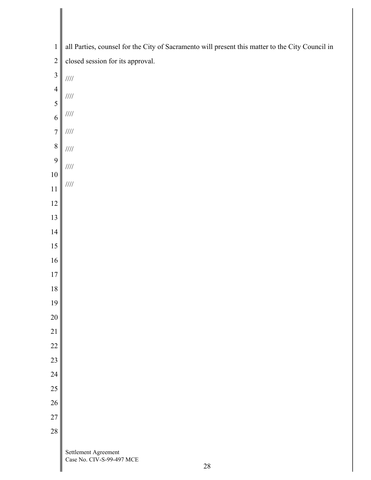| $\mathbf 1$                 | all Parties, counsel for the City of Sacramento will present this matter to the City Council in |
|-----------------------------|-------------------------------------------------------------------------------------------------|
| $\overline{2}$              | closed session for its approval.                                                                |
| $\overline{\mathbf{3}}$     | $/ \! / \! / \! /$                                                                              |
| $\overline{4}$              | $/ \! / \! / \! /$                                                                              |
| 5                           | $\mathcal{U}\mathcal{U}$                                                                        |
| 6                           |                                                                                                 |
| $\overline{7}$<br>$\,$ $\,$ | $\mathcal{U}\mathcal{U}$                                                                        |
| 9                           | $/ \! / \! / \! /$                                                                              |
| 10                          | $/ \! / \! / \! /$                                                                              |
| 11                          | $/ \! / \! / \! /$                                                                              |
| 12                          |                                                                                                 |
| 13                          |                                                                                                 |
| 14                          |                                                                                                 |
| 15                          |                                                                                                 |
| 16                          |                                                                                                 |
| $17\,$                      |                                                                                                 |
| $18\,$<br>19                |                                                                                                 |
| 20                          |                                                                                                 |
| 21                          |                                                                                                 |
| 22                          |                                                                                                 |
| 23                          |                                                                                                 |
| 24                          |                                                                                                 |
| 25                          |                                                                                                 |
| 26                          |                                                                                                 |
| $27\,$                      |                                                                                                 |
| 28                          |                                                                                                 |
|                             | Settlement Agreement<br>Case No. CIV-S-99-497 MCE<br>$28\,$                                     |